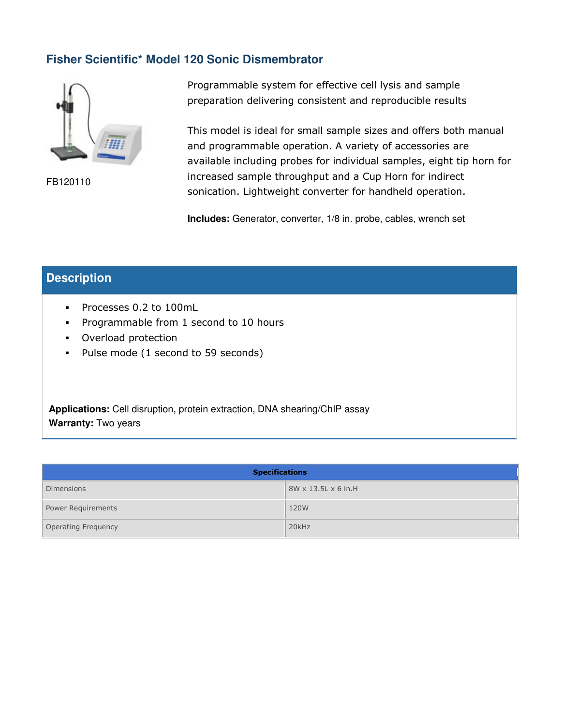# **Fisher Scientific\* Model 120 Sonic Dismembrator**



FB120110

Programmable system for effective cell lysis and sample preparation delivering consistent and reproducible results

This model is ideal for small sample sizes and offers both manual and programmable operation. A variety of accessories are available including probes for individual samples, eight tip horn for increased sample throughput and a Cup Horn for indirect sonication. Lightweight converter for handheld operation.

**Includes:** Generator, converter, 1/8 in. probe, cables, wrench set

## **Description**

- Processes 0.2 to 100mL
- **Programmable from 1 second to 10 hours**
- Overload protection
- Pulse mode (1 second to 59 seconds)

**Applications:** Cell disruption, protein extraction, DNA shearing/ChIP assay **Warranty:** Two years

| <b>Specifications</b>      |                                 |  |
|----------------------------|---------------------------------|--|
| <b>Dimensions</b>          | $8W \times 13.5L \times 6$ in.H |  |
| <b>Power Requirements</b>  | 120W                            |  |
| <b>Operating Frequency</b> | 20kHz                           |  |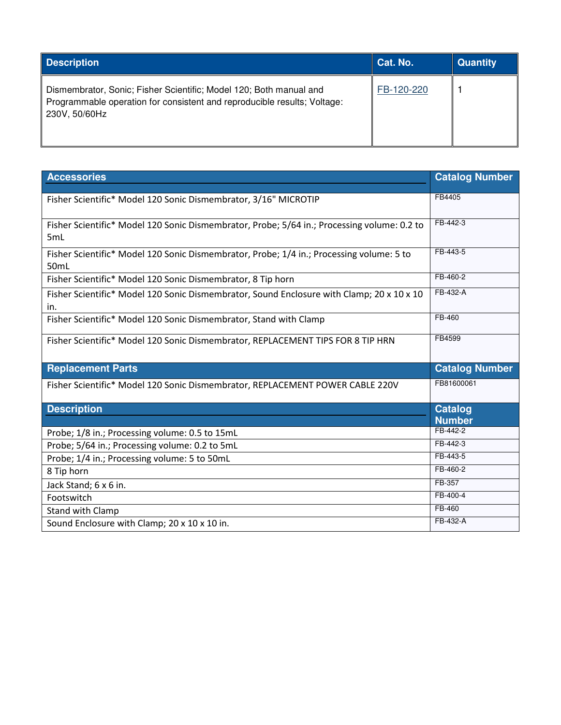| <b>Description</b>                                                                                                                                              | Cat. No.   | <b>Quantity</b> |
|-----------------------------------------------------------------------------------------------------------------------------------------------------------------|------------|-----------------|
| Dismembrator, Sonic; Fisher Scientific; Model 120; Both manual and<br>Programmable operation for consistent and reproducible results; Voltage:<br>230V, 50/60Hz | FB-120-220 |                 |

| <b>Accessories</b>                                                                                 | <b>Catalog Number</b> |
|----------------------------------------------------------------------------------------------------|-----------------------|
| Fisher Scientific* Model 120 Sonic Dismembrator, 3/16" MICROTIP                                    | FB4405                |
| Fisher Scientific* Model 120 Sonic Dismembrator, Probe; 5/64 in.; Processing volume: 0.2 to<br>5mL | FB-442-3              |
| Fisher Scientific* Model 120 Sonic Dismembrator, Probe; 1/4 in.; Processing volume: 5 to<br>50mL   | FB-443-5              |
| Fisher Scientific* Model 120 Sonic Dismembrator, 8 Tip horn                                        | FB-460-2              |
| Fisher Scientific* Model 120 Sonic Dismembrator, Sound Enclosure with Clamp; 20 x 10 x 10<br>in.   | FB-432-A              |
| Fisher Scientific* Model 120 Sonic Dismembrator, Stand with Clamp                                  | FB-460                |
| Fisher Scientific* Model 120 Sonic Dismembrator, REPLACEMENT TIPS FOR 8 TIP HRN                    | FB4599                |
| <b>Replacement Parts</b>                                                                           | <b>Catalog Number</b> |
| Fisher Scientific* Model 120 Sonic Dismembrator, REPLACEMENT POWER CABLE 220V                      | FB81600061            |
| <b>Description</b>                                                                                 | <b>Catalog</b>        |
|                                                                                                    | <b>Number</b>         |
| Probe; 1/8 in.; Processing volume: 0.5 to 15mL                                                     | FB-442-2              |
| Probe; 5/64 in.; Processing volume: 0.2 to 5mL                                                     | FB-442-3              |
| Probe; 1/4 in.; Processing volume: 5 to 50mL                                                       | FB-443-5              |
| 8 Tip horn                                                                                         | FB-460-2              |
| Jack Stand; 6 x 6 in.                                                                              | FB-357                |
| Footswitch                                                                                         | FB-400-4              |
| Stand with Clamp                                                                                   | FB-460                |
| Sound Enclosure with Clamp; 20 x 10 x 10 in.                                                       | FB-432-A              |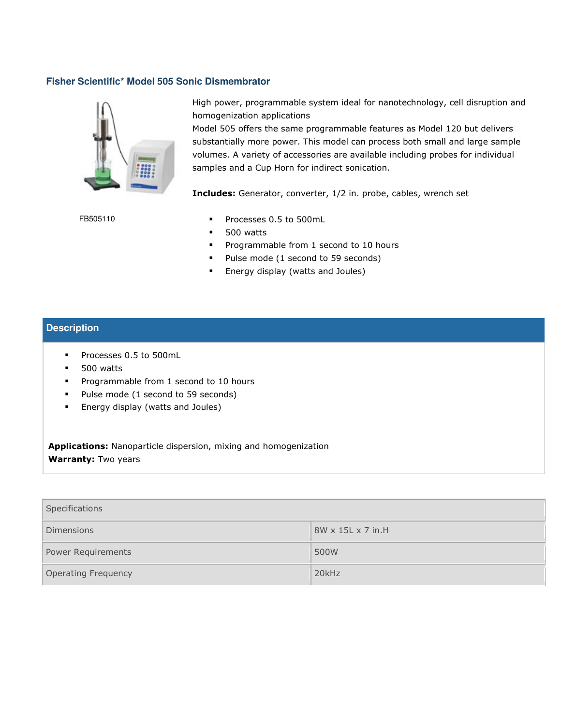#### **Fisher Scientific\* Model 505 Sonic Dismembrator**



High power, programmable system ideal for nanotechnology, cell disruption and homogenization applications

Model 505 offers the same programmable features as Model 120 but delivers substantially more power. This model can process both small and large sample volumes. A variety of accessories are available including probes for individual samples and a Cup Horn for indirect sonication.

Includes: Generator, converter, 1/2 in. probe, cables, wrench set

- Processes 0.5 to 500mL
- **500** watts
- **Programmable from 1 second to 10 hours**
- Pulse mode (1 second to 59 seconds)
- **Energy display (watts and Joules)**

#### **Description**

- Processes 0.5 to 500mL
- **500** watts

FB505110

- **Programmable from 1 second to 10 hours**
- Pulse mode (1 second to 59 seconds)
- **Energy display (watts and Joules)**

Applications: Nanoparticle dispersion, mixing and homogenization Warranty: Two years

| Specifications             |                               |  |
|----------------------------|-------------------------------|--|
| <b>Dimensions</b>          | $8W \times 15L \times 7$ in H |  |
| Power Requirements         | 500W                          |  |
| <b>Operating Frequency</b> | 20kHz                         |  |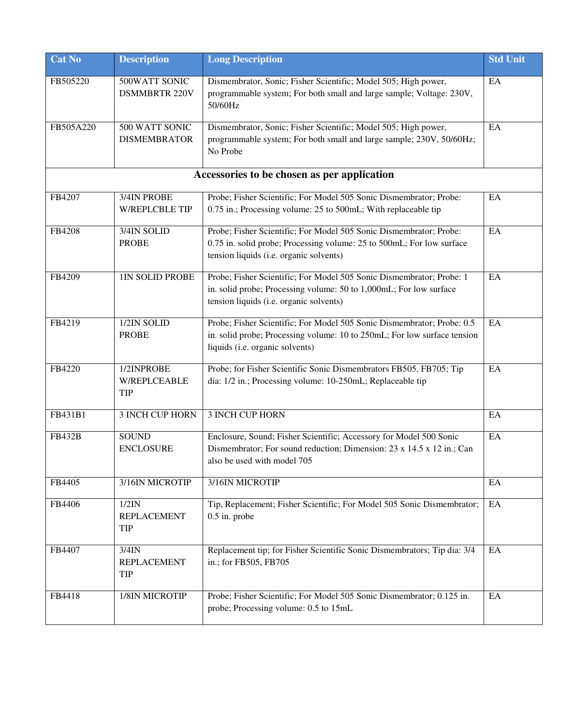| <b>Cat No</b> | <b>Description</b>                        | <b>Long Description</b>                                                                                                                                                                | <b>Std Unit</b> |
|---------------|-------------------------------------------|----------------------------------------------------------------------------------------------------------------------------------------------------------------------------------------|-----------------|
| FB505220      | 500WATT SONIC<br><b>DSMMBRTR 220V</b>     | Dismembrator, Sonic; Fisher Scientific; Model 505; High power,<br>programmable system; For both small and large sample; Voltage: 230V,<br>50/60Hz                                      | EA              |
| FB505A220     | 500 WATT SONIC<br><b>DISMEMBRATOR</b>     | Dismembrator, Sonic; Fisher Scientific; Model 505; High power,<br>programmable system; For both small and large sample; 230V, 50/60Hz;<br>No Probe                                     | EA              |
|               |                                           | Accessories to be chosen as per application                                                                                                                                            |                 |
| FB4207        | 3/4IN PROBE<br><b>W/REPLCBLE TIP</b>      | Probe; Fisher Scientific; For Model 505 Sonic Dismembrator; Probe:<br>0.75 in.; Processing volume: 25 to 500mL; With replaceable tip                                                   | EA              |
| FB4208        | 3/4IN SOLID<br><b>PROBE</b>               | Probe; Fisher Scientific; For Model 505 Sonic Dismembrator; Probe:<br>0.75 in. solid probe; Processing volume: 25 to 500mL; For low surface<br>tension liquids (i.e. organic solvents) | EA              |
| FB4209        | 1IN SOLID PROBE                           | Probe; Fisher Scientific; For Model 505 Sonic Dismembrator; Probe: 1<br>in. solid probe; Processing volume: 50 to 1,000mL; For low surface<br>tension liquids (i.e. organic solvents)  | EA              |
| FB4219        | 1/2IN SOLID<br><b>PROBE</b>               | Probe; Fisher Scientific; For Model 505 Sonic Dismembrator; Probe: 0.5<br>in. solid probe; Processing volume: 10 to 250mL; For low surface tension<br>liquids (i.e. organic solvents)  | EA              |
| FB4220        | 1/2INPROBE<br><b>W/REPLCEABLE</b><br>TIP  | Probe; for Fisher Scientific Sonic Dismembrators FB505, FB705; Tip<br>dia: 1/2 in.; Processing volume: 10-250mL; Replaceable tip                                                       | EA              |
| FB431B1       | 3 INCH CUP HORN                           | <b>3 INCH CUP HORN</b>                                                                                                                                                                 | EA              |
| <b>FB432B</b> | <b>SOUND</b><br><b>ENCLOSURE</b>          | Enclosure, Sound; Fisher Scientific; Accessory for Model 500 Sonic<br>Dismembrator; For sound reduction; Dimension: 23 x 14.5 x 12 in.; Can<br>also be used with model 705             | EA              |
| FB4405        | 3/16IN MICROTIP                           | 3/16IN MICROTIP                                                                                                                                                                        | EA              |
| FB4406        | 1/2IN<br><b>REPLACEMENT</b><br><b>TIP</b> | Tip, Replacement; Fisher Scientific; For Model 505 Sonic Dismembrator;<br>$0.5$ in. probe                                                                                              | EA              |
| FB4407        | $3/4$ IN<br><b>REPLACEMENT</b><br>TIP     | Replacement tip; for Fisher Scientific Sonic Dismembrators; Tip dia: 3/4<br>in.; for FB505, FB705                                                                                      | EA              |
| FB4418        | 1/8IN MICROTIP                            | Probe; Fisher Scientific; For Model 505 Sonic Dismembrator; 0.125 in.<br>probe; Processing volume: 0.5 to 15mL                                                                         | EA              |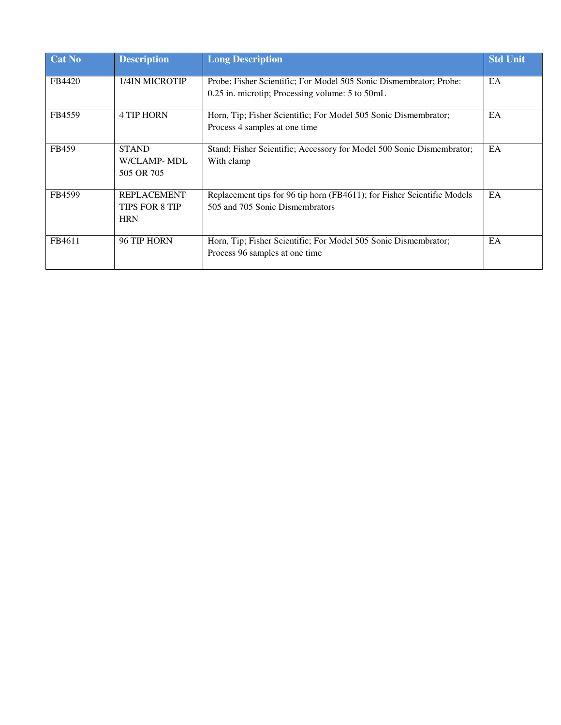| Cat No | <b>Description</b>                                        | <b>Long Description</b>                                                                                                   | <b>Std Unit</b> |
|--------|-----------------------------------------------------------|---------------------------------------------------------------------------------------------------------------------------|-----------------|
| FB4420 | 1/4IN MICROTIP                                            | Probe: Fisher Scientific: For Model 505 Sonic Dismembrator: Probe:<br>$0.25$ in. microtip; Processing volume: 5 to $50mL$ | EA              |
| FB4559 | <b>4 TIP HORN</b>                                         | Horn, Tip; Fisher Scientific; For Model 505 Sonic Dismembrator;<br>Process 4 samples at one time                          | EA              |
| FB459  | <b>STAND</b><br>W/CLAMP-MDL<br>505 OR 705                 | Stand; Fisher Scientific; Accessory for Model 500 Sonic Dismembrator;<br>With clamp                                       | EA              |
| FB4599 | <b>REPLACEMENT</b><br><b>TIPS FOR 8 TIP</b><br><b>HRN</b> | Replacement tips for 96 tip horn (FB4611); for Fisher Scientific Models<br>505 and 705 Sonic Dismembrators                | EA              |
| FB4611 | 96 TIP HORN                                               | Horn, Tip; Fisher Scientific; For Model 505 Sonic Dismembrator;<br>Process 96 samples at one time                         | EA              |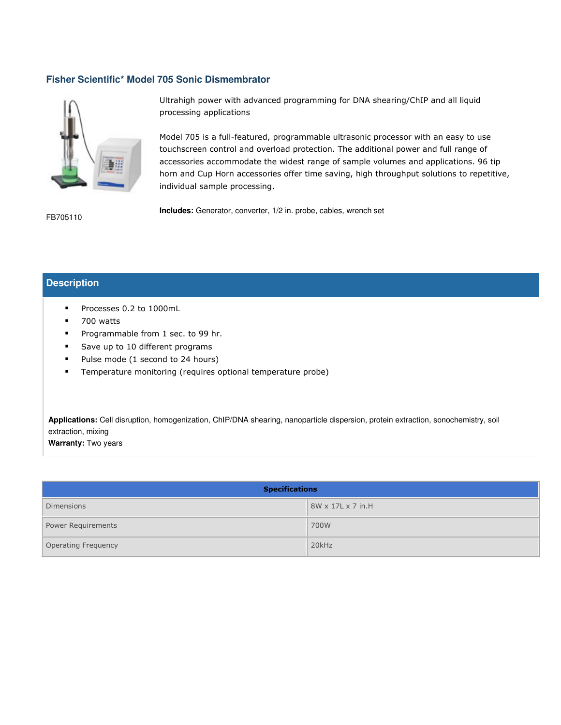#### **Fisher Scientific\* Model 705 Sonic Dismembrator**



Ultrahigh power with advanced programming for DNA shearing/ChIP and all liquid processing applications

Model 705 is a full-featured, programmable ultrasonic processor with an easy to use touchscreen control and overload protection. The additional power and full range of accessories accommodate the widest range of sample volumes and applications. 96 tip horn and Cup Horn accessories offer time saving, high throughput solutions to repetitive, individual sample processing.

FB705110

**Includes:** Generator, converter, 1/2 in. probe, cables, wrench set

### **Description**

- Processes 0.2 to 1000mL
- **700 watts**
- Programmable from 1 sec. to 99 hr.
- Save up to 10 different programs
- Pulse mode (1 second to 24 hours)
- **Temperature monitoring (requires optional temperature probe)**

**Applications:** Cell disruption, homogenization, ChIP/DNA shearing, nanoparticle dispersion, protein extraction, sonochemistry, soil extraction, mixing

**Warranty:** Two years

| <b>Specifications</b> |                               |  |
|-----------------------|-------------------------------|--|
| <b>Dimensions</b>     | $8W \times 17L \times 7$ in H |  |
| Power Requirements    | 700W                          |  |
| Operating Frequency   | 20kHz                         |  |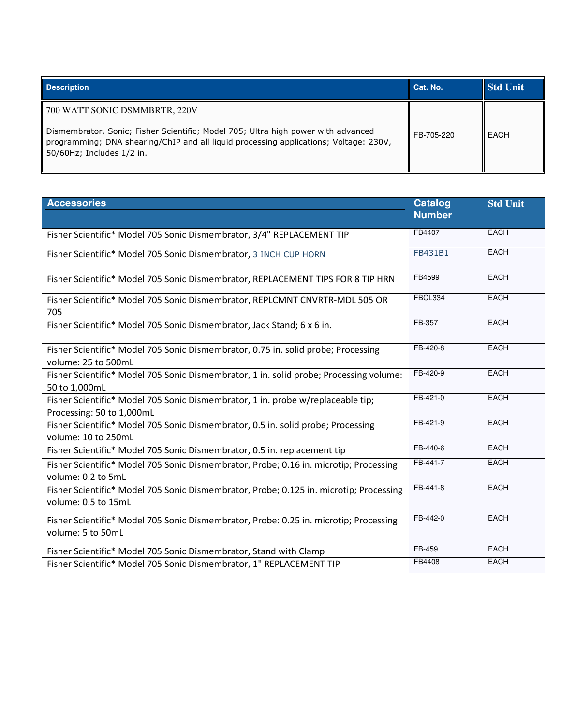| <b>Description</b>                                                                                                 | Cat. No.   | Std Unit |
|--------------------------------------------------------------------------------------------------------------------|------------|----------|
| 700 WATT SONIC DSMMBRTR, 220V<br>Dismembrator, Sonic; Fisher Scientific; Model 705; Ultra high power with advanced | FB-705-220 | EACH     |
| programming; DNA shearing/ChIP and all liquid processing applications; Voltage: 230V,<br>50/60Hz; Includes 1/2 in. |            |          |

| <b>Accessories</b>                                                                                            | <b>Catalog</b> | <b>Std Unit</b> |
|---------------------------------------------------------------------------------------------------------------|----------------|-----------------|
|                                                                                                               | <b>Number</b>  |                 |
| Fisher Scientific* Model 705 Sonic Dismembrator, 3/4" REPLACEMENT TIP                                         | FB4407         | <b>EACH</b>     |
| Fisher Scientific* Model 705 Sonic Dismembrator, 3 INCH CUP HORN                                              | <b>FB431B1</b> | <b>EACH</b>     |
| Fisher Scientific* Model 705 Sonic Dismembrator, REPLACEMENT TIPS FOR 8 TIP HRN                               | FB4599         | <b>EACH</b>     |
| Fisher Scientific* Model 705 Sonic Dismembrator, REPLCMNT CNVRTR-MDL 505 OR<br>705                            | FBCL334        | <b>EACH</b>     |
| Fisher Scientific* Model 705 Sonic Dismembrator, Jack Stand; 6 x 6 in.                                        | FB-357         | <b>EACH</b>     |
| Fisher Scientific* Model 705 Sonic Dismembrator, 0.75 in. solid probe; Processing<br>volume: 25 to 500mL      | FB-420-8       | <b>EACH</b>     |
| Fisher Scientific* Model 705 Sonic Dismembrator, 1 in. solid probe; Processing volume:<br>50 to 1,000mL       | FB-420-9       | <b>EACH</b>     |
| Fisher Scientific* Model 705 Sonic Dismembrator, 1 in. probe w/replaceable tip;<br>Processing: 50 to 1,000mL  | FB-421-0       | <b>EACH</b>     |
| Fisher Scientific* Model 705 Sonic Dismembrator, 0.5 in. solid probe; Processing<br>volume: 10 to 250mL       | FB-421-9       | <b>EACH</b>     |
| Fisher Scientific* Model 705 Sonic Dismembrator, 0.5 in. replacement tip                                      | FB-440-6       | <b>EACH</b>     |
| Fisher Scientific* Model 705 Sonic Dismembrator, Probe; 0.16 in. microtip; Processing<br>volume: 0.2 to 5mL   | FB-441-7       | <b>EACH</b>     |
| Fisher Scientific* Model 705 Sonic Dismembrator, Probe; 0.125 in. microtip; Processing<br>volume: 0.5 to 15mL | FB-441-8       | <b>EACH</b>     |
| Fisher Scientific* Model 705 Sonic Dismembrator, Probe: 0.25 in. microtip; Processing<br>volume: 5 to 50mL    | FB-442-0       | <b>EACH</b>     |
| Fisher Scientific* Model 705 Sonic Dismembrator, Stand with Clamp                                             | FB-459         | <b>EACH</b>     |
| Fisher Scientific* Model 705 Sonic Dismembrator, 1" REPLACEMENT TIP                                           | FB4408         | <b>EACH</b>     |